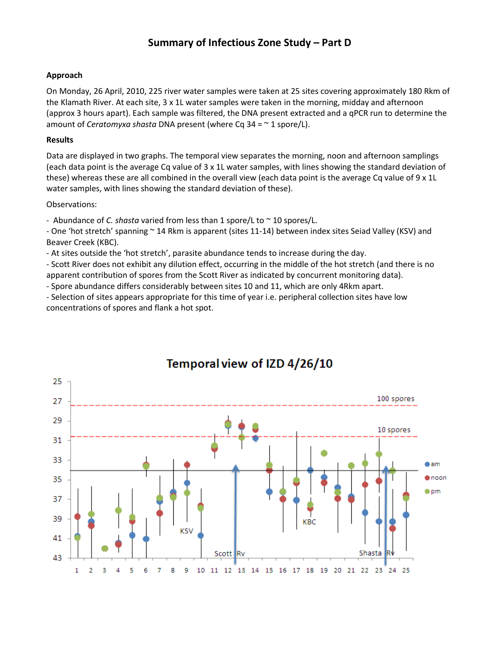### **Summary of Infectious Zone Study – Part D**

#### **Approach**

On Monday, 26 April, 2010, 225 river water samples were taken at 25 sites covering approximately 180 Rkm of the Klamath River. At each site, 3 x 1L water samples were taken in the morning, midday and afternoon (approx 3 hours apart). Each sample was filtered, the DNA present extracted and a qPCR run to determine the amount of *Ceratomyxa shasta* DNA present (where Cq 34 = ~ 1 spore/L).

#### **Results**

Data are displayed in two graphs. The temporal view separates the morning, noon and afternoon samplings (each data point is the average Cq value of 3 x 1L water samples, with lines showing the standard deviation of these) whereas these are all combined in the overall view (each data point is the average Cq value of 9 x 1L water samples, with lines showing the standard deviation of these).

#### Observations:

- Abundance of *C. shasta* varied from less than 1 spore/L to ~ 10 spores/L.

- One 'hot stretch' spanning ~ 14 Rkm is apparent (sites 11-14) between index sites Seiad Valley (KSV) and Beaver Creek (KBC).

- At sites outside the 'hot stretch', parasite abundance tends to increase during the day.

- Scott River does not exhibit any dilution effect, occurring in the middle of the hot stretch (and there is no apparent contribution of spores from the Scott River as indicated by concurrent monitoring data).

- Spore abundance differs considerably between sites 10 and 11, which are only 4Rkm apart.

- Selection of sites appears appropriate for this time of year i.e. peripheral collection sites have low concentrations of spores and flank a hot spot.



## Temporal view of IZD 4/26/10